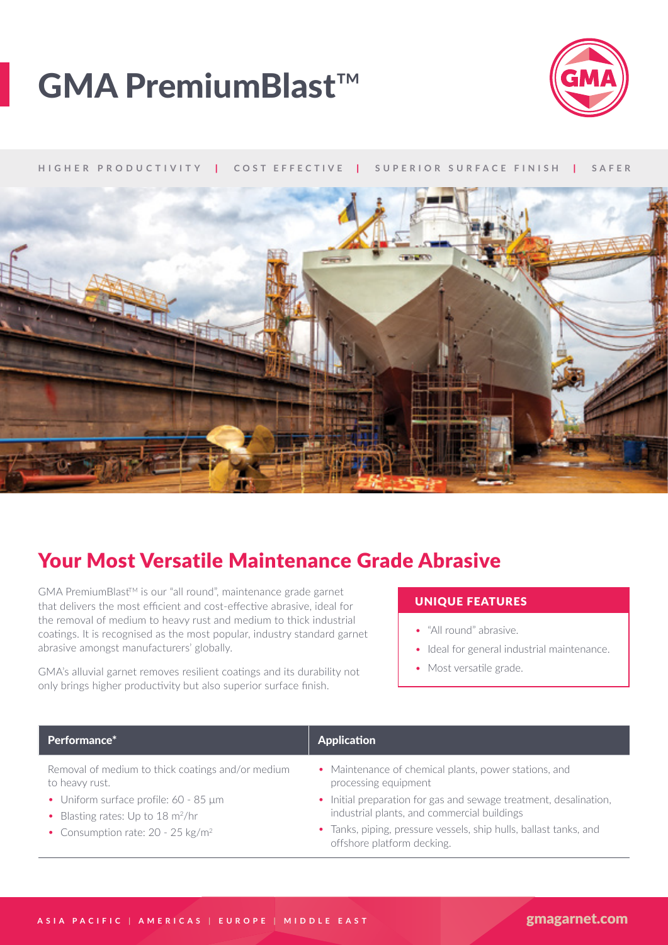# GMA PremiumBlast™



#### **HIGHER PRODUCTIVITY** | **COST EFFECTIVE** | **SUPERIOR SURFACE FINISH** | **SAFER**



## Your Most Versatile Maintenance Grade Abrasive

GMA PremiumBlast™ is our "all round", maintenance grade garnet that delivers the most efficient and cost-effective abrasive, ideal for the removal of medium to heavy rust and medium to thick industrial coatings. It is recognised as the most popular, industry standard garnet abrasive amongst manufacturers' globally.

GMA's alluvial garnet removes resilient coatings and its durability not only brings higher productivity but also superior surface finish.

### UNIQUE FEATURES

- "All round" abrasive.
- Ideal for general industrial maintenance.
- Most versatile grade.

| <b>Application</b>                                                                                               |
|------------------------------------------------------------------------------------------------------------------|
| • Maintenance of chemical plants, power stations, and<br>processing equipment                                    |
| • Initial preparation for gas and sewage treatment, desalination,<br>industrial plants, and commercial buildings |
|                                                                                                                  |

- Consumption rate: 20 25 kg/m<sup>2</sup>
- Tanks, piping, pressure vessels, ship hulls, ballast tanks, and offshore platform decking.